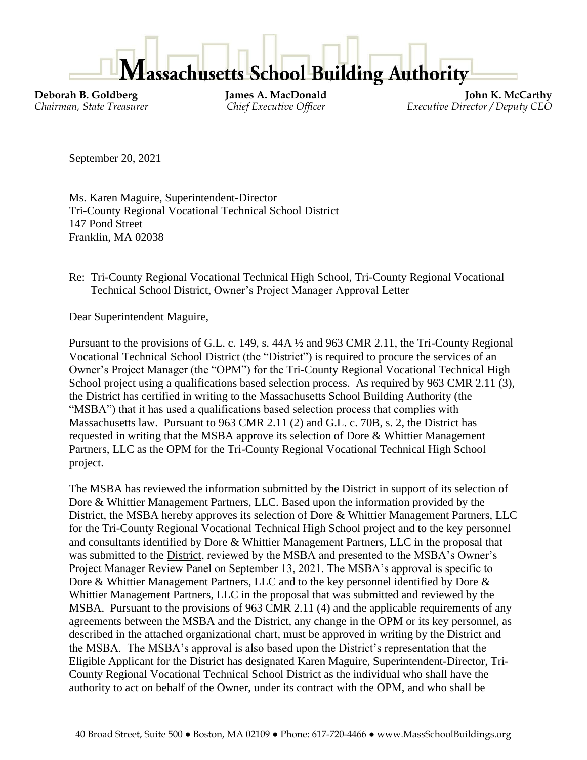

**Deborah B. Goldberg James A. MacDonald John K. McCarthy** *Chairman, State Treasurer Chief Executive Officer Executive Director / Deputy CEO*

September 20, 2021

Ms. Karen Maguire, Superintendent-Director Tri-County Regional Vocational Technical School District 147 Pond Street Franklin, MA 02038

Re: Tri-County Regional Vocational Technical High School, Tri-County Regional Vocational Technical School District, Owner's Project Manager Approval Letter

Dear Superintendent Maguire,

Pursuant to the provisions of G.L. c. 149, s. 44A ½ and 963 CMR 2.11, the Tri-County Regional Vocational Technical School District (the "District") is required to procure the services of an Owner's Project Manager (the "OPM") for the Tri-County Regional Vocational Technical High School project using a qualifications based selection process. As required by 963 CMR 2.11 (3), the District has certified in writing to the Massachusetts School Building Authority (the "MSBA") that it has used a qualifications based selection process that complies with Massachusetts law. Pursuant to 963 CMR 2.11 (2) and G.L. c. 70B, s. 2, the District has requested in writing that the MSBA approve its selection of Dore & Whittier Management Partners, LLC as the OPM for the Tri-County Regional Vocational Technical High School project.

The MSBA has reviewed the information submitted by the District in support of its selection of Dore & Whittier Management Partners, LLC. Based upon the information provided by the District, the MSBA hereby approves its selection of Dore & Whittier Management Partners, LLC for the Tri-County Regional Vocational Technical High School project and to the key personnel and consultants identified by Dore & Whittier Management Partners, LLC in the proposal that was submitted to the District, reviewed by the MSBA and presented to the MSBA's Owner's Project Manager Review Panel on September 13, 2021. The MSBA's approval is specific to Dore & Whittier Management Partners, LLC and to the key personnel identified by Dore & Whittier Management Partners, LLC in the proposal that was submitted and reviewed by the MSBA. Pursuant to the provisions of 963 CMR 2.11 (4) and the applicable requirements of any agreements between the MSBA and the District, any change in the OPM or its key personnel, as described in the attached organizational chart, must be approved in writing by the District and the MSBA. The MSBA's approval is also based upon the District's representation that the Eligible Applicant for the District has designated Karen Maguire, Superintendent-Director, Tri-County Regional Vocational Technical School District as the individual who shall have the authority to act on behalf of the Owner, under its contract with the OPM, and who shall be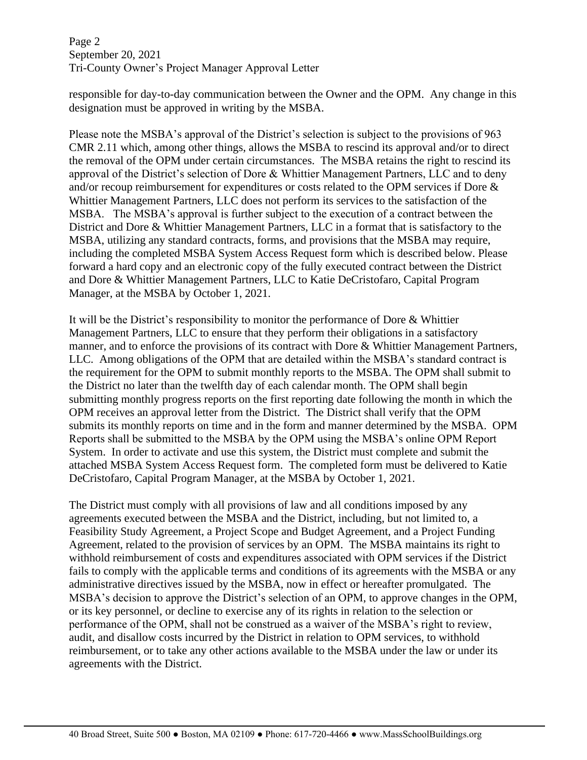Page 2 September 20, 2021 Tri-County Owner's Project Manager Approval Letter

responsible for day-to-day communication between the Owner and the OPM. Any change in this designation must be approved in writing by the MSBA.

Please note the MSBA's approval of the District's selection is subject to the provisions of 963 CMR 2.11 which, among other things, allows the MSBA to rescind its approval and/or to direct the removal of the OPM under certain circumstances. The MSBA retains the right to rescind its approval of the District's selection of Dore & Whittier Management Partners, LLC and to deny and/or recoup reimbursement for expenditures or costs related to the OPM services if Dore & Whittier Management Partners, LLC does not perform its services to the satisfaction of the MSBA. The MSBA's approval is further subject to the execution of a contract between the District and Dore & Whittier Management Partners, LLC in a format that is satisfactory to the MSBA, utilizing any standard contracts, forms, and provisions that the MSBA may require, including the completed MSBA System Access Request form which is described below. Please forward a hard copy and an electronic copy of the fully executed contract between the District and Dore & Whittier Management Partners, LLC to Katie DeCristofaro, Capital Program Manager, at the MSBA by October 1, 2021.

It will be the District's responsibility to monitor the performance of Dore & Whittier Management Partners, LLC to ensure that they perform their obligations in a satisfactory manner, and to enforce the provisions of its contract with Dore & Whittier Management Partners, LLC. Among obligations of the OPM that are detailed within the MSBA's standard contract is the requirement for the OPM to submit monthly reports to the MSBA. The OPM shall submit to the District no later than the twelfth day of each calendar month. The OPM shall begin submitting monthly progress reports on the first reporting date following the month in which the OPM receives an approval letter from the District. The District shall verify that the OPM submits its monthly reports on time and in the form and manner determined by the MSBA. OPM Reports shall be submitted to the MSBA by the OPM using the MSBA's online OPM Report System. In order to activate and use this system, the District must complete and submit the attached MSBA System Access Request form. The completed form must be delivered to Katie DeCristofaro, Capital Program Manager, at the MSBA by October 1, 2021.

The District must comply with all provisions of law and all conditions imposed by any agreements executed between the MSBA and the District, including, but not limited to, a Feasibility Study Agreement, a Project Scope and Budget Agreement, and a Project Funding Agreement, related to the provision of services by an OPM. The MSBA maintains its right to withhold reimbursement of costs and expenditures associated with OPM services if the District fails to comply with the applicable terms and conditions of its agreements with the MSBA or any administrative directives issued by the MSBA, now in effect or hereafter promulgated. The MSBA's decision to approve the District's selection of an OPM, to approve changes in the OPM, or its key personnel, or decline to exercise any of its rights in relation to the selection or performance of the OPM, shall not be construed as a waiver of the MSBA's right to review, audit, and disallow costs incurred by the District in relation to OPM services, to withhold reimbursement, or to take any other actions available to the MSBA under the law or under its agreements with the District.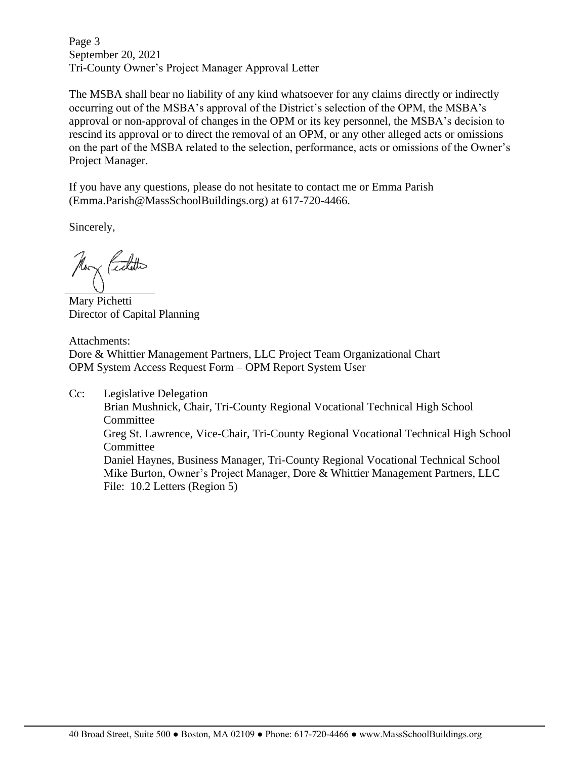Page 3 September 20, 2021 Tri-County Owner's Project Manager Approval Letter

The MSBA shall bear no liability of any kind whatsoever for any claims directly or indirectly occurring out of the MSBA's approval of the District's selection of the OPM, the MSBA's approval or non-approval of changes in the OPM or its key personnel, the MSBA's decision to rescind its approval or to direct the removal of an OPM, or any other alleged acts or omissions on the part of the MSBA related to the selection, performance, acts or omissions of the Owner's Project Manager.

If you have any questions, please do not hesitate to contact me or Emma Parish (Emma.Parish@MassSchoolBuildings.org) at 617-720-4466.

Sincerely,

Non Centito

Mary Pichetti Director of Capital Planning

Attachments: Dore & Whittier Management Partners, LLC Project Team Organizational Chart OPM System Access Request Form – OPM Report System User

Cc: Legislative Delegation Brian Mushnick, Chair, Tri-County Regional Vocational Technical High School **Committee** Greg St. Lawrence, Vice-Chair, Tri-County Regional Vocational Technical High School Committee Daniel Haynes, Business Manager, Tri-County Regional Vocational Technical School Mike Burton, Owner's Project Manager, Dore & Whittier Management Partners, LLC File: 10.2 Letters (Region 5)